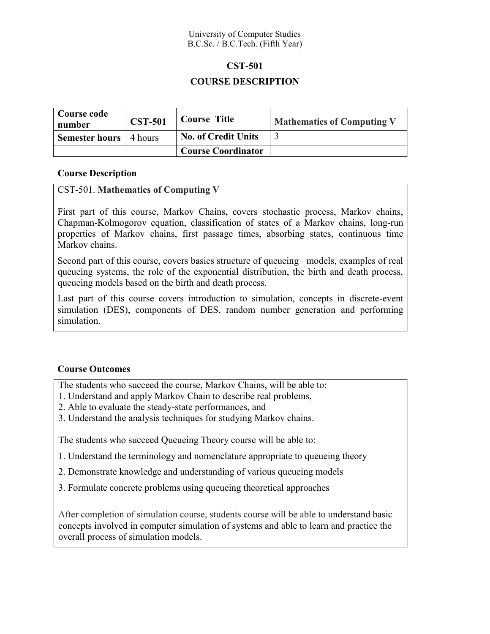## University of Computer Studies B.C.Sc. / B.C.Tech. (Fifth Year)

#### **CST-501**

# **COURSE DESCRIPTION**

| Course code<br>number         | <b>CST-501</b> | <b>Course Title</b>        | <b>Mathematics of Computing V</b> |
|-------------------------------|----------------|----------------------------|-----------------------------------|
| <b>Semester hours</b> 4 hours |                | <b>No. of Credit Units</b> |                                   |
|                               |                | <b>Course Coordinator</b>  |                                   |

## **Course Description**

## CST-501. **Mathematics of Computing V**

First part of this course, Markov Chains**,** covers stochastic process, Markov chains, Chapman-Kolmogorov equation, classification of states of a Markov chains, long-run properties of Markov chains, first passage times, absorbing states, continuous time Markov chains.

Second part of this course, covers basics structure of queueing models, examples of real queueing systems, the role of the exponential distribution, the birth and death process, queueing models based on the birth and death process.

Last part of this course covers introduction to simulation, concepts in discrete-event simulation (DES), components of DES, random number generation and performing simulation.

# **Course Outcomes**

The students who succeed the course, Markov Chains, will be able to:

- 1. Understand and apply Markov Chain to describe real problems,
- 2. Able to evaluate the steady-state performances, and
- 3. Understand the analysis techniques for studying Markov chains.

The students who succeed Queueing Theory course will be able to:

- 1. Understand the terminology and nomenclature appropriate to queueing theory
- 2. Demonstrate knowledge and understanding of various queueing models
- 3. Formulate concrete problems using queueing theoretical approaches

After completion of simulation course, students course will be able to understand basic concepts involved in computer simulation of systems and able to learn and practice the overall process of simulation models.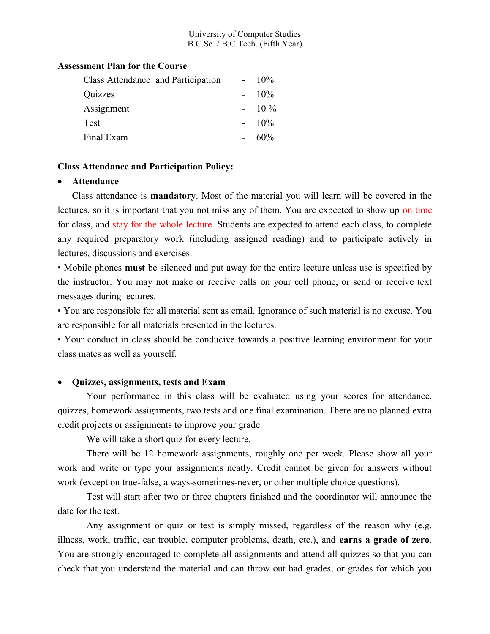### University of Computer Studies B.C.Sc. / B.C.Tech. (Fifth Year)

### **Assessment Plan for the Course**

| Class Attendance and Participation | $10\%$ |
|------------------------------------|--------|
| Quizzes                            | $10\%$ |
| Assignment                         | $10\%$ |
| Test                               | $10\%$ |
| Final Exam                         | $60\%$ |

#### **Class Attendance and Participation Policy:**

#### **Attendance**

Class attendance is **mandatory**. Most of the material you will learn will be covered in the lectures, so it is important that you not miss any of them. You are expected to show up on time for class, and stay for the whole lecture. Students are expected to attend each class, to complete any required preparatory work (including assigned reading) and to participate actively in lectures, discussions and exercises.

• Mobile phones **must** be silenced and put away for the entire lecture unless use is specified by the instructor. You may not make or receive calls on your cell phone, or send or receive text messages during lectures.

• You are responsible for all material sent as email. Ignorance of such material is no excuse. You are responsible for all materials presented in the lectures.

• Your conduct in class should be conducive towards a positive learning environment for your class mates as well as yourself.

## **Quizzes, assignments, tests and Exam**

Your performance in this class will be evaluated using your scores for attendance, quizzes, homework assignments, two tests and one final examination. There are no planned extra credit projects or assignments to improve your grade.

We will take a short quiz for every lecture.

There will be 12 homework assignments, roughly one per week. Please show all your work and write or type your assignments neatly. Credit cannot be given for answers without work (except on true-false, always-sometimes-never, or other multiple choice questions).

Test will start after two or three chapters finished and the coordinator will announce the date for the test.

Any assignment or quiz or test is simply missed, regardless of the reason why (e.g. illness, work, traffic, car trouble, computer problems, death, etc.), and **earns a grade of zero**. You are strongly encouraged to complete all assignments and attend all quizzes so that you can check that you understand the material and can throw out bad grades, or grades for which you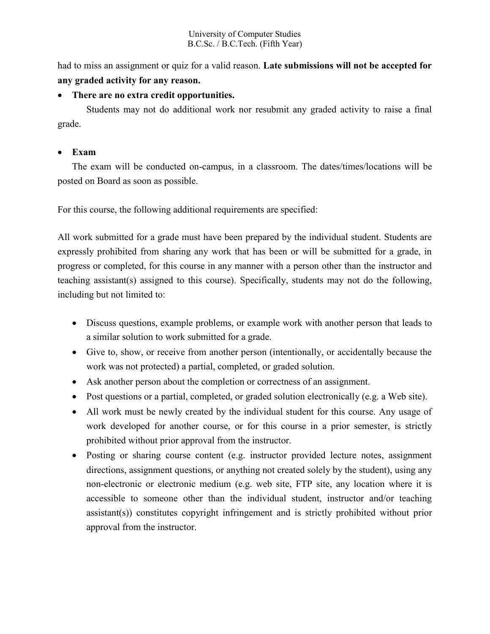had to miss an assignment or quiz for a valid reason. **Late submissions will not be accepted for any graded activity for any reason.**

# **There are no extra credit opportunities.**

Students may not do additional work nor resubmit any graded activity to raise a final grade.

# **Exam**

The exam will be conducted on-campus, in a classroom. The dates/times/locations will be posted on Board as soon as possible.

For this course, the following additional requirements are specified:

All work submitted for a grade must have been prepared by the individual student. Students are expressly prohibited from sharing any work that has been or will be submitted for a grade, in progress or completed, for this course in any manner with a person other than the instructor and teaching assistant(s) assigned to this course). Specifically, students may not do the following, including but not limited to:

- Discuss questions, example problems, or example work with another person that leads to a similar solution to work submitted for a grade.
- Give to, show, or receive from another person (intentionally, or accidentally because the work was not protected) a partial, completed, or graded solution.
- Ask another person about the completion or correctness of an assignment.
- Post questions or a partial, completed, or graded solution electronically (e.g. a Web site).
- All work must be newly created by the individual student for this course. Any usage of work developed for another course, or for this course in a prior semester, is strictly prohibited without prior approval from the instructor.
- Posting or sharing course content (e.g. instructor provided lecture notes, assignment directions, assignment questions, or anything not created solely by the student), using any non-electronic or electronic medium (e.g. web site, FTP site, any location where it is accessible to someone other than the individual student, instructor and/or teaching assistant(s)) constitutes copyright infringement and is strictly prohibited without prior approval from the instructor.